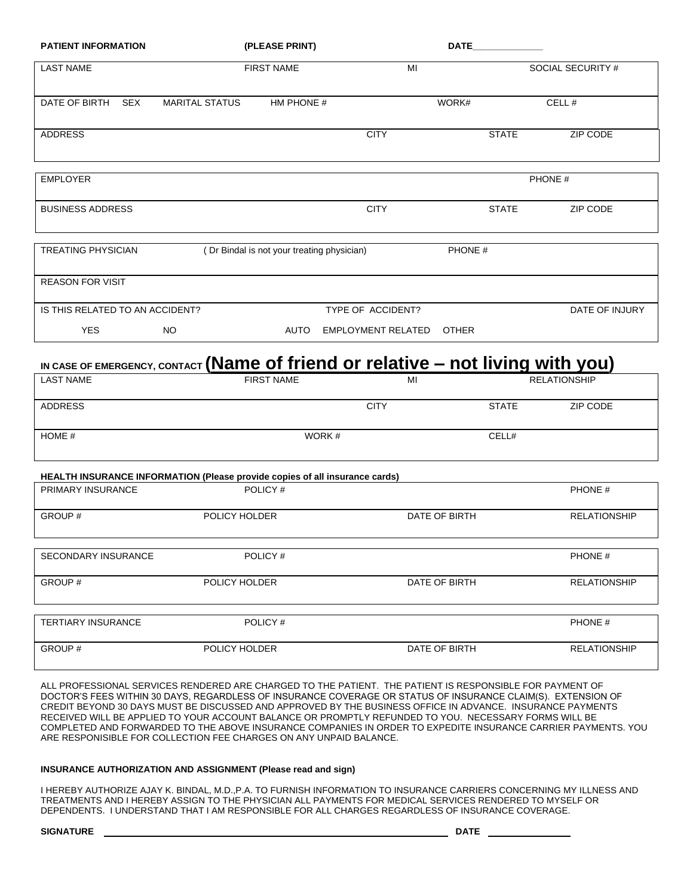| <b>PATIENT INFORMATION</b>      |                       | (PLEASE PRINT)                             |                           | <b>DATE</b>  |                   |  |
|---------------------------------|-----------------------|--------------------------------------------|---------------------------|--------------|-------------------|--|
| <b>LAST NAME</b>                |                       | <b>FIRST NAME</b>                          | MI                        |              | SOCIAL SECURITY # |  |
| DATE OF BIRTH<br><b>SEX</b>     | <b>MARITAL STATUS</b> | HM PHONE #                                 |                           | WORK#        | CELL#             |  |
| <b>ADDRESS</b>                  |                       |                                            | <b>CITY</b>               | <b>STATE</b> | ZIP CODE          |  |
| <b>EMPLOYER</b>                 |                       |                                            |                           |              | PHONE #           |  |
| <b>BUSINESS ADDRESS</b>         |                       |                                            | <b>CITY</b>               | <b>STATE</b> | ZIP CODE          |  |
| <b>TREATING PHYSICIAN</b>       |                       | (Dr Bindal is not your treating physician) |                           | PHONE #      |                   |  |
| <b>REASON FOR VISIT</b>         |                       |                                            |                           |              |                   |  |
| IS THIS RELATED TO AN ACCIDENT? |                       |                                            | TYPE OF ACCIDENT?         |              | DATE OF INJURY    |  |
| <b>YES</b>                      | NO.                   | AUTO                                       | <b>EMPLOYMENT RELATED</b> | <b>OTHER</b> |                   |  |

# **IN CASE OF EMERGENCY, CONTACT (Name of friend or relative – not living with you)**

| <b>LAST NAME</b>           | <b>FIRST NAME</b>                                                           | MI            |              | <b>RELATIONSHIP</b> |
|----------------------------|-----------------------------------------------------------------------------|---------------|--------------|---------------------|
| <b>ADDRESS</b>             |                                                                             | <b>CITY</b>   | <b>STATE</b> | ZIP CODE            |
| HOME #                     | WORK #                                                                      |               | CELL#        |                     |
|                            | HEALTH INSURANCE INFORMATION (Please provide copies of all insurance cards) |               |              |                     |
| PRIMARY INSURANCE          | POLICY#                                                                     |               |              | PHONE #             |
| GROUP#                     | POLICY HOLDER                                                               | DATE OF BIRTH |              | <b>RELATIONSHIP</b> |
| <b>SECONDARY INSURANCE</b> | POLICY#                                                                     |               |              | PHONE #             |
| GROUP#                     | POLICY HOLDER                                                               | DATE OF BIRTH |              | <b>RELATIONSHIP</b> |
| <b>TEDTIADVIMOUD ANOF</b>  | $D$ $N$ $N$                                                                 |               |              | P <sub>II</sub>     |

| <b>TERTIARY INSURANCE</b> | POLICY#       |               | PHONE #      |
|---------------------------|---------------|---------------|--------------|
| GROUP#                    | POLICY HOLDER | DATE OF BIRTH | RELATIONSHIP |

ALL PROFESSIONAL SERVICES RENDERED ARE CHARGED TO THE PATIENT. THE PATIENT IS RESPONSIBLE FOR PAYMENT OF DOCTOR'S FEES WITHIN 30 DAYS, REGARDLESS OF INSURANCE COVERAGE OR STATUS OF INSURANCE CLAIM(S). EXTENSION OF CREDIT BEYOND 30 DAYS MUST BE DISCUSSED AND APPROVED BY THE BUSINESS OFFICE IN ADVANCE. INSURANCE PAYMENTS RECEIVED WILL BE APPLIED TO YOUR ACCOUNT BALANCE OR PROMPTLY REFUNDED TO YOU. NECESSARY FORMS WILL BE COMPLETED AND FORWARDED TO THE ABOVE INSURANCE COMPANIES IN ORDER TO EXPEDITE INSURANCE CARRIER PAYMENTS. YOU ARE RESPONISIBLE FOR COLLECTION FEE CHARGES ON ANY UNPAID BALANCE.

## **INSURANCE AUTHORIZATION AND ASSIGNMENT (Please read and sign)**

I HEREBY AUTHORIZE AJAY K. BINDAL, M.D.,P.A. TO FURNISH INFORMATION TO INSURANCE CARRIERS CONCERNING MY ILLNESS AND TREATMENTS AND I HEREBY ASSIGN TO THE PHYSICIAN ALL PAYMENTS FOR MEDICAL SERVICES RENDERED TO MYSELF OR DEPENDENTS. I UNDERSTAND THAT I AM RESPONSIBLE FOR ALL CHARGES REGARDLESS OF INSURANCE COVERAGE.

#### **SIGNATURE DATE**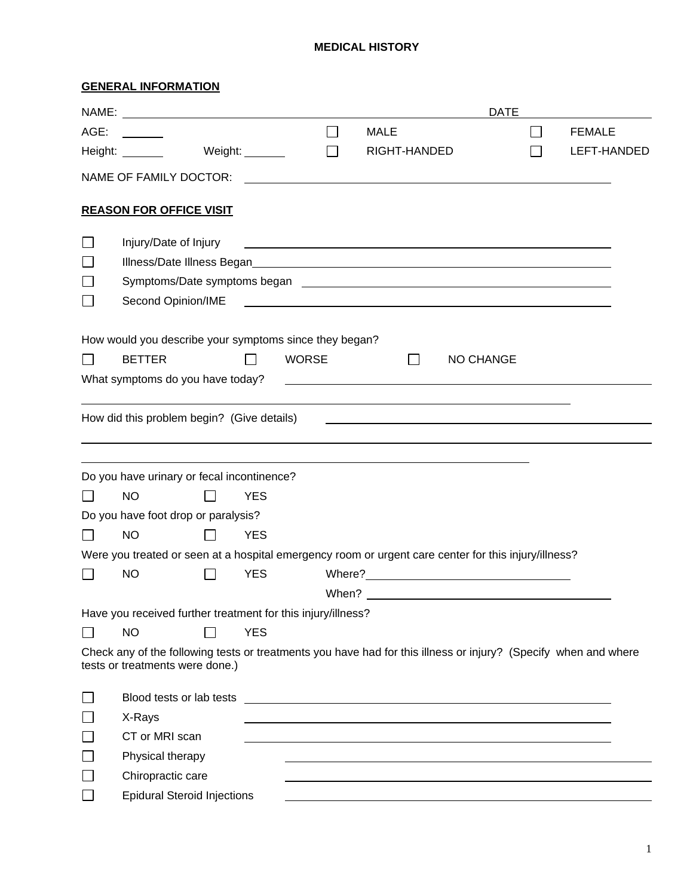## **MEDICAL HISTORY**

# **GENERAL INFORMATION**

|      |                                                                                                                                                    |                              |              |                                                                                                                                                                                                                                      | <b>DATE</b>      |               |
|------|----------------------------------------------------------------------------------------------------------------------------------------------------|------------------------------|--------------|--------------------------------------------------------------------------------------------------------------------------------------------------------------------------------------------------------------------------------------|------------------|---------------|
| AGE: |                                                                                                                                                    |                              | $\mathbf{I}$ | <b>MALE</b>                                                                                                                                                                                                                          |                  | <b>FEMALE</b> |
|      | Height: _______                                                                                                                                    | Weight: $\rule{1em}{0.15mm}$ | П            | RIGHT-HANDED                                                                                                                                                                                                                         |                  | LEFT-HANDED   |
|      | NAME OF FAMILY DOCTOR:                                                                                                                             |                              |              |                                                                                                                                                                                                                                      |                  |               |
|      | <b>REASON FOR OFFICE VISIT</b>                                                                                                                     |                              |              |                                                                                                                                                                                                                                      |                  |               |
|      | Injury/Date of Injury                                                                                                                              |                              |              | <u> 1989 - Andrea Barbara, poeta esperanto-poeta esperanto-poeta esperanto-poeta esperanto-poeta esperanto-poeta</u>                                                                                                                 |                  |               |
|      |                                                                                                                                                    |                              |              |                                                                                                                                                                                                                                      |                  |               |
|      |                                                                                                                                                    |                              |              |                                                                                                                                                                                                                                      |                  |               |
|      | Second Opinion/IME                                                                                                                                 |                              |              | <u> Andreas Andreas Andreas Andreas Andreas Andreas Andreas Andreas Andreas Andreas Andreas Andreas Andreas Andr</u>                                                                                                                 |                  |               |
|      | How would you describe your symptoms since they began?                                                                                             |                              |              |                                                                                                                                                                                                                                      |                  |               |
|      | <b>BETTER</b>                                                                                                                                      |                              | <b>WORSE</b> | $\mathsf{I}$                                                                                                                                                                                                                         | <b>NO CHANGE</b> |               |
|      | What symptoms do you have today?                                                                                                                   |                              |              | <u> 1989 - Johann Stone, mars et al. (</u> † 1920)                                                                                                                                                                                   |                  |               |
|      | How did this problem begin? (Give details)                                                                                                         |                              |              | <u>some started and the started and the started and the started and the started and the started and the started and the started and the started and the started and the started and the started and the started and the started </u> |                  |               |
|      | Do you have urinary or fecal incontinence?                                                                                                         |                              |              |                                                                                                                                                                                                                                      |                  |               |
|      | <b>NO</b>                                                                                                                                          | <b>YES</b>                   |              |                                                                                                                                                                                                                                      |                  |               |
|      | Do you have foot drop or paralysis?                                                                                                                |                              |              |                                                                                                                                                                                                                                      |                  |               |
|      | <b>NO</b>                                                                                                                                          | <b>YES</b>                   |              |                                                                                                                                                                                                                                      |                  |               |
|      | Were you treated or seen at a hospital emergency room or urgent care center for this injury/illness?                                               |                              |              |                                                                                                                                                                                                                                      |                  |               |
|      | <b>NO</b>                                                                                                                                          | <b>YES</b>                   |              |                                                                                                                                                                                                                                      |                  |               |
|      |                                                                                                                                                    |                              |              |                                                                                                                                                                                                                                      |                  |               |
|      | Have you received further treatment for this injury/illness?                                                                                       |                              |              |                                                                                                                                                                                                                                      |                  |               |
|      | <b>NO</b>                                                                                                                                          | <b>YES</b>                   |              |                                                                                                                                                                                                                                      |                  |               |
|      | Check any of the following tests or treatments you have had for this illness or injury? (Specify when and where<br>tests or treatments were done.) |                              |              |                                                                                                                                                                                                                                      |                  |               |
|      | Blood tests or lab tests                                                                                                                           |                              |              |                                                                                                                                                                                                                                      |                  |               |
|      | X-Rays                                                                                                                                             |                              |              |                                                                                                                                                                                                                                      |                  |               |
|      | CT or MRI scan                                                                                                                                     |                              |              |                                                                                                                                                                                                                                      |                  |               |
|      | Physical therapy                                                                                                                                   |                              |              |                                                                                                                                                                                                                                      |                  |               |
|      | Chiropractic care                                                                                                                                  |                              |              |                                                                                                                                                                                                                                      |                  |               |
|      | <b>Epidural Steroid Injections</b>                                                                                                                 |                              |              |                                                                                                                                                                                                                                      |                  |               |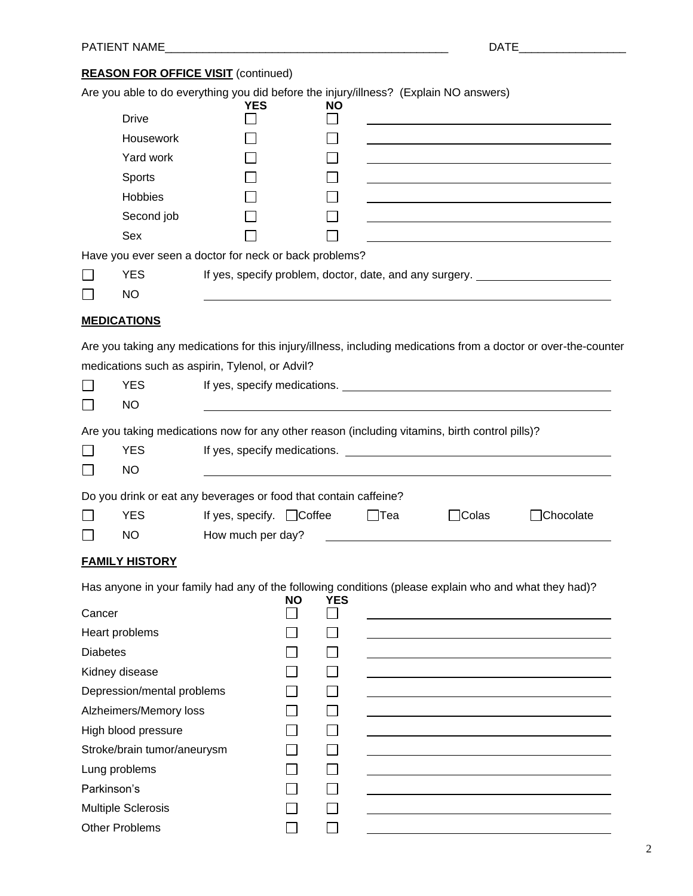# **REASON FOR OFFICE VISIT** (continued)

|                 | Are you able to do everything you did before the injury/illness? (Explain NO answers)                                     |                                |           |            |            |                              |                                                                                                                 |
|-----------------|---------------------------------------------------------------------------------------------------------------------------|--------------------------------|-----------|------------|------------|------------------------------|-----------------------------------------------------------------------------------------------------------------|
|                 | <b>Drive</b>                                                                                                              | <b>YES</b>                     |           | NΟ         |            |                              |                                                                                                                 |
|                 | Housework                                                                                                                 |                                |           |            |            |                              |                                                                                                                 |
|                 | Yard work                                                                                                                 |                                |           |            |            |                              |                                                                                                                 |
|                 | Sports                                                                                                                    |                                |           |            |            |                              |                                                                                                                 |
|                 | Hobbies                                                                                                                   |                                |           |            |            |                              |                                                                                                                 |
|                 | Second job                                                                                                                |                                |           |            |            |                              |                                                                                                                 |
|                 | Sex                                                                                                                       |                                |           |            |            |                              |                                                                                                                 |
|                 | Have you ever seen a doctor for neck or back problems?                                                                    |                                |           |            |            |                              |                                                                                                                 |
|                 | <b>YES</b>                                                                                                                |                                |           |            |            |                              | If yes, specify problem, doctor, date, and any surgery. ________________________                                |
|                 | <b>NO</b>                                                                                                                 |                                |           |            |            |                              |                                                                                                                 |
|                 | <b>MEDICATIONS</b>                                                                                                        |                                |           |            |            |                              |                                                                                                                 |
| $\Box$          | medications such as aspirin, Tylenol, or Advil?<br><b>YES</b><br><b>NO</b>                                                |                                |           |            |            | If yes, specify medications. | Are you taking any medications for this injury/illness, including medications from a doctor or over-the-counter |
| $\Box$          | Are you taking medications now for any other reason (including vitamins, birth control pills)?<br><b>YES</b><br><b>NO</b> |                                |           |            |            |                              |                                                                                                                 |
|                 | Do you drink or eat any beverages or food that contain caffeine?                                                          |                                |           |            |            |                              |                                                                                                                 |
|                 | <b>YES</b>                                                                                                                | If yes, specify. $\Box$ Coffee |           |            | $\Box$ Tea | $\Box$ Colas                 | Chocolate                                                                                                       |
|                 | <b>NO</b>                                                                                                                 | How much per day?              |           |            |            |                              |                                                                                                                 |
|                 | <b>FAMILY HISTORY</b>                                                                                                     |                                |           |            |            |                              |                                                                                                                 |
|                 |                                                                                                                           |                                | <b>NO</b> | <b>YES</b> |            |                              | Has anyone in your family had any of the following conditions (please explain who and what they had)?           |
| Cancer          |                                                                                                                           |                                |           |            |            |                              |                                                                                                                 |
|                 | Heart problems                                                                                                            |                                |           |            |            |                              |                                                                                                                 |
| <b>Diabetes</b> |                                                                                                                           |                                |           |            |            |                              |                                                                                                                 |
|                 | Kidney disease                                                                                                            |                                |           |            |            |                              |                                                                                                                 |
|                 | Depression/mental problems                                                                                                |                                |           |            |            |                              |                                                                                                                 |
|                 | Alzheimers/Memory loss                                                                                                    |                                |           |            |            |                              |                                                                                                                 |
|                 | High blood pressure                                                                                                       |                                |           |            |            |                              |                                                                                                                 |
|                 | Stroke/brain tumor/aneurysm                                                                                               |                                |           |            |            |                              |                                                                                                                 |
|                 | Lung problems                                                                                                             |                                |           |            |            |                              |                                                                                                                 |
| Parkinson's     |                                                                                                                           |                                |           |            |            |                              |                                                                                                                 |
|                 | <b>Multiple Sclerosis</b>                                                                                                 |                                |           |            |            |                              |                                                                                                                 |
|                 | <b>Other Problems</b>                                                                                                     |                                |           |            |            |                              |                                                                                                                 |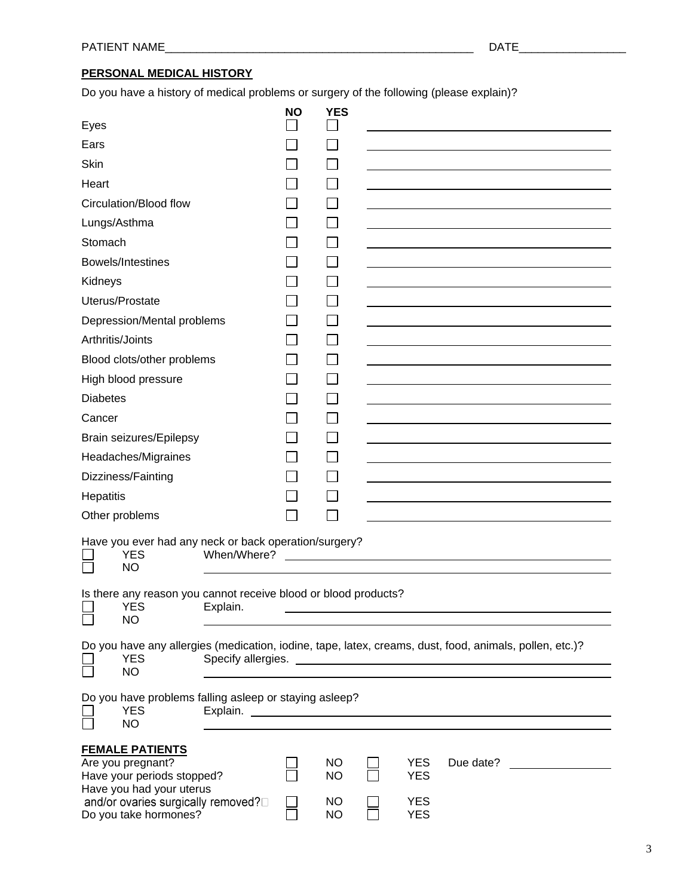# **PERSONAL MEDICAL HISTORY**

Do you have a history of medical problems or surgery of the following (please explain)?

|                  |                                                                                                                                                                      |             | <b>NO</b> | <b>YES</b>                                       |                                                      |                                                                                                         |
|------------------|----------------------------------------------------------------------------------------------------------------------------------------------------------------------|-------------|-----------|--------------------------------------------------|------------------------------------------------------|---------------------------------------------------------------------------------------------------------|
| Eyes             |                                                                                                                                                                      |             |           |                                                  |                                                      |                                                                                                         |
| Ears             |                                                                                                                                                                      |             |           |                                                  |                                                      |                                                                                                         |
| Skin             |                                                                                                                                                                      |             |           |                                                  |                                                      |                                                                                                         |
| Heart            |                                                                                                                                                                      |             |           |                                                  |                                                      |                                                                                                         |
|                  | Circulation/Blood flow                                                                                                                                               |             |           |                                                  |                                                      |                                                                                                         |
| Lungs/Asthma     |                                                                                                                                                                      |             |           |                                                  |                                                      |                                                                                                         |
| Stomach          |                                                                                                                                                                      |             |           |                                                  |                                                      |                                                                                                         |
|                  | Bowels/Intestines                                                                                                                                                    |             |           |                                                  |                                                      |                                                                                                         |
| Kidneys          |                                                                                                                                                                      |             |           |                                                  |                                                      |                                                                                                         |
|                  | Uterus/Prostate                                                                                                                                                      |             |           |                                                  |                                                      |                                                                                                         |
|                  | Depression/Mental problems                                                                                                                                           |             |           |                                                  |                                                      |                                                                                                         |
| Arthritis/Joints |                                                                                                                                                                      |             |           |                                                  |                                                      |                                                                                                         |
|                  | Blood clots/other problems                                                                                                                                           |             |           |                                                  |                                                      |                                                                                                         |
|                  | High blood pressure                                                                                                                                                  |             |           |                                                  |                                                      |                                                                                                         |
| <b>Diabetes</b>  |                                                                                                                                                                      |             |           |                                                  |                                                      |                                                                                                         |
| Cancer           |                                                                                                                                                                      |             |           |                                                  |                                                      |                                                                                                         |
|                  | <b>Brain seizures/Epilepsy</b>                                                                                                                                       |             |           |                                                  |                                                      |                                                                                                         |
|                  | Headaches/Migraines                                                                                                                                                  |             |           |                                                  |                                                      |                                                                                                         |
|                  | Dizziness/Fainting                                                                                                                                                   |             |           |                                                  |                                                      |                                                                                                         |
| Hepatitis        |                                                                                                                                                                      |             |           |                                                  |                                                      |                                                                                                         |
|                  | Other problems                                                                                                                                                       |             |           |                                                  |                                                      |                                                                                                         |
|                  | Have you ever had any neck or back operation/surgery?<br>YES<br><b>NO</b>                                                                                            | When/Where? |           |                                                  |                                                      |                                                                                                         |
|                  | Is there any reason you cannot receive blood or blood products?<br><b>YES</b><br><b>NO</b>                                                                           | Explain.    |           |                                                  |                                                      |                                                                                                         |
|                  | <b>YES</b><br><b>NO</b>                                                                                                                                              |             |           |                                                  |                                                      | Do you have any allergies (medication, iodine, tape, latex, creams, dust, food, animals, pollen, etc.)? |
|                  | Do you have problems falling asleep or staying asleep?<br><b>YES</b><br><b>NO</b>                                                                                    |             |           |                                                  |                                                      |                                                                                                         |
|                  | <b>FEMALE PATIENTS</b><br>Are you pregnant?<br>Have your periods stopped?<br>Have you had your uterus<br>and/or ovaries surgically removed?<br>Do you take hormones? |             |           | <b>NO</b><br><b>NO</b><br><b>NO</b><br><b>NO</b> | <b>YES</b><br><b>YES</b><br><b>YES</b><br><b>YES</b> | Due date?                                                                                               |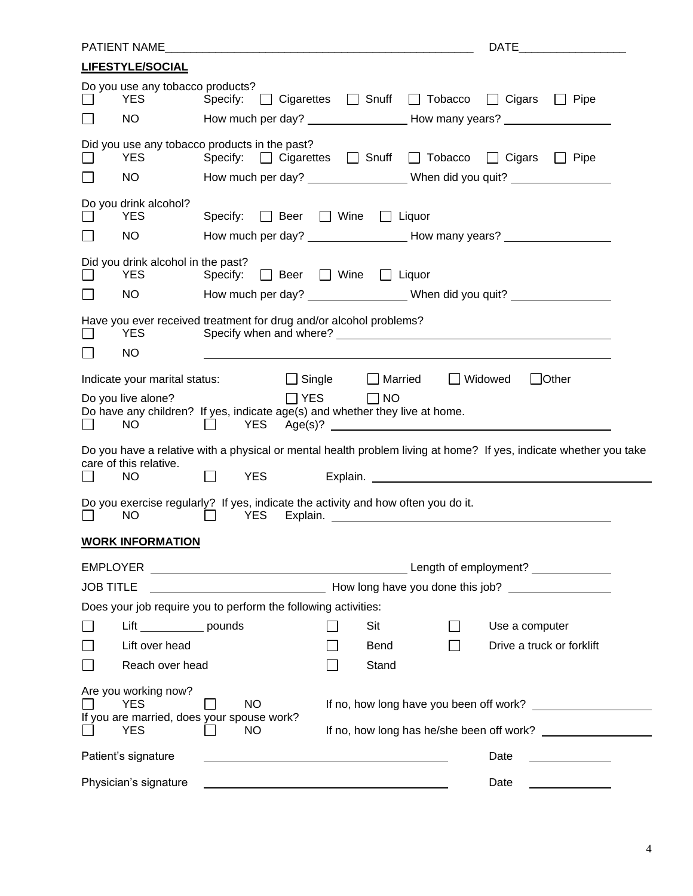| <b>LIFESTYLE/SOCIAL</b>                                                                                                        |                                                                                                                            |
|--------------------------------------------------------------------------------------------------------------------------------|----------------------------------------------------------------------------------------------------------------------------|
| Do you use any tobacco products?<br><b>YES</b><br>Specify:                                                                     | □ Cigarettes □ Snuff □ Tobacco □ Cigars □ Pipe                                                                             |
| NO.                                                                                                                            |                                                                                                                            |
| Did you use any tobacco products in the past?<br><b>YES</b>                                                                    | Specify: Cigarettes C Snuff C Tobacco C Cigars C Pipe                                                                      |
| <b>NO</b><br>$\Box$                                                                                                            | How much per day? ______________________When did you quit? _____________________                                           |
| Do you drink alcohol?<br><b>YES</b><br>Specify: $\Box$ Beer $\Box$ Wine $\Box$ Liquor                                          |                                                                                                                            |
| <b>NO</b><br>$\Box$                                                                                                            |                                                                                                                            |
| Did you drink alcohol in the past?<br>Specify: $\Box$ Beer $\Box$ Wine $\Box$ Liquor<br><b>YES</b>                             |                                                                                                                            |
| NO.                                                                                                                            | How much per day? ___________________When did you quit? ________________________                                           |
| Have you ever received treatment for drug and/or alcohol problems?<br><b>YES</b>                                               |                                                                                                                            |
| <b>NO</b><br>$\blacksquare$                                                                                                    |                                                                                                                            |
| $\Box$ Single<br>Indicate your marital status:                                                                                 | $\Box$ Other<br>$\Box$ Married<br>Widowed<br>$\mathbf{1}$                                                                  |
| $\Box$ YES<br>Do you live alone?<br>Do have any children? If yes, indicate age(s) and whether they live at home.<br>YES<br>NO. | $\Box$ NO<br>Age(s)?                                                                                                       |
| care of this relative.<br><b>YES</b><br><b>NO</b>                                                                              | Do you have a relative with a physical or mental health problem living at home? If yes, indicate whether you take          |
| Do you exercise regularly? If yes, indicate the activity and how often you do it.<br><b>NO</b><br><b>YES</b><br>$\blacksquare$ |                                                                                                                            |
| <b>WORK INFORMATION</b>                                                                                                        |                                                                                                                            |
|                                                                                                                                |                                                                                                                            |
| <b>JOB TITLE</b>                                                                                                               | <b>Example 2018 The Example 2019 The United States States 2019 The Control of American States And American States Inc.</b> |
| Does your job require you to perform the following activities:                                                                 |                                                                                                                            |
| Lift ______________ pounds                                                                                                     | Use a computer<br>Sit                                                                                                      |
| Lift over head                                                                                                                 | Drive a truck or forklift<br><b>Bend</b>                                                                                   |
| Reach over head                                                                                                                | Stand                                                                                                                      |
| Are you working now?<br><b>NO</b><br><b>YES</b><br>If you are married, does your spouse work?                                  | If no, how long have you been off work?                                                                                    |
| <b>YES</b><br>NO.                                                                                                              | If no, how long has he/she been off work?                                                                                  |
| Patient's signature                                                                                                            | Date                                                                                                                       |
| Physician's signature                                                                                                          | Date                                                                                                                       |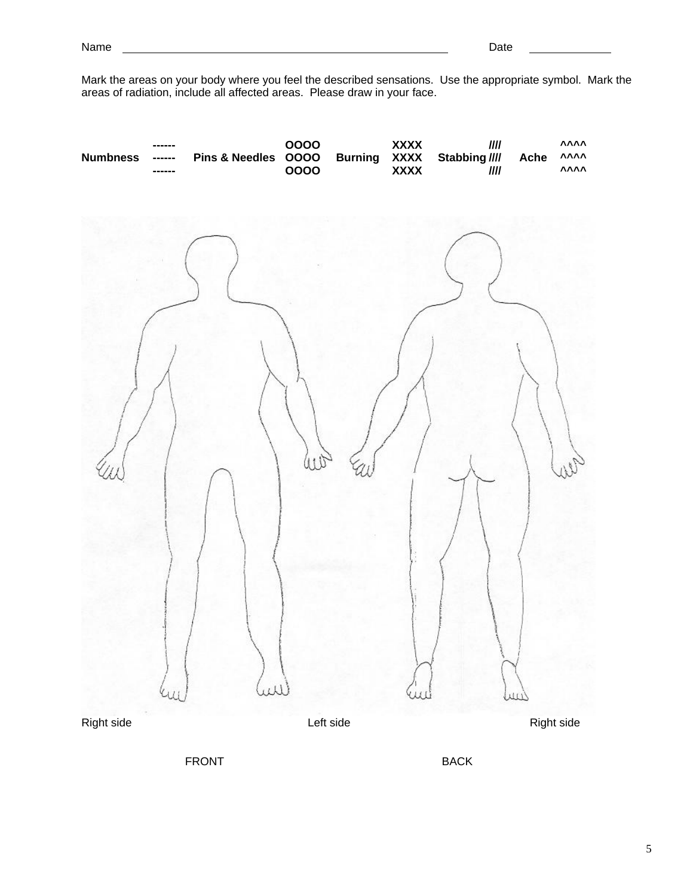Mark the areas on your body where you feel the described sensations. Use the appropriate symbol. Mark the areas of radiation, include all affected areas. Please draw in your face.



FRONT BACK

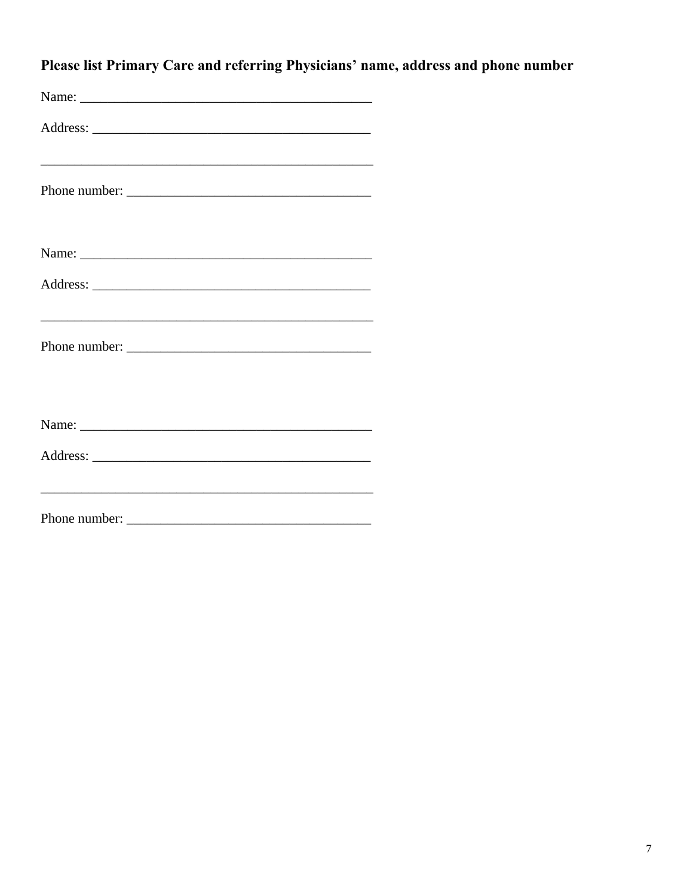|  |  |  | Please list Primary Care and referring Physicians' name, address and phone number |
|--|--|--|-----------------------------------------------------------------------------------|
|  |  |  |                                                                                   |

| Name:         |  |
|---------------|--|
|               |  |
|               |  |
|               |  |
|               |  |
|               |  |
|               |  |
|               |  |
|               |  |
| Phone number: |  |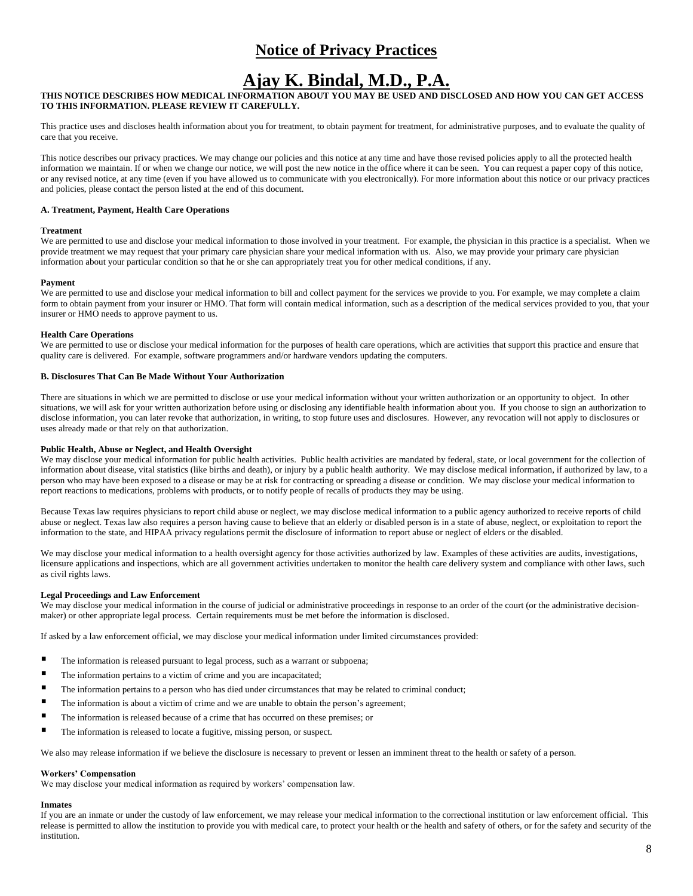# **Notice of Privacy Practices**

# **Ajay K. Bindal, M.D., P.A.**

## **THIS NOTICE DESCRIBES HOW MEDICAL INFORMATION ABOUT YOU MAY BE USED AND DISCLOSED AND HOW YOU CAN GET ACCESS TO THIS INFORMATION. PLEASE REVIEW IT CAREFULLY.**

This practice uses and discloses health information about you for treatment, to obtain payment for treatment, for administrative purposes, and to evaluate the quality of care that you receive.

This notice describes our privacy practices. We may change our policies and this notice at any time and have those revised policies apply to all the protected health information we maintain. If or when we change our notice, we will post the new notice in the office where it can be seen. You can request a paper copy of this notice, or any revised notice, at any time (even if you have allowed us to communicate with you electronically). For more information about this notice or our privacy practices and policies, please contact the person listed at the end of this document.

#### **A. Treatment, Payment, Health Care Operations**

#### **Treatment**

We are permitted to use and disclose your medical information to those involved in your treatment. For example, the physician in this practice is a specialist. When we provide treatment we may request that your primary care physician share your medical information with us. Also, we may provide your primary care physician information about your particular condition so that he or she can appropriately treat you for other medical conditions, if any.

#### **Payment**

We are permitted to use and disclose your medical information to bill and collect payment for the services we provide to you. For example, we may complete a claim form to obtain payment from your insurer or HMO. That form will contain medical information, such as a description of the medical services provided to you, that your insurer or HMO needs to approve payment to us.

#### **Health Care Operations**

We are permitted to use or disclose your medical information for the purposes of health care operations, which are activities that support this practice and ensure that quality care is delivered. For example, software programmers and/or hardware vendors updating the computers.

#### **B. Disclosures That Can Be Made Without Your Authorization**

There are situations in which we are permitted to disclose or use your medical information without your written authorization or an opportunity to object.In other situations, we will ask for your written authorization before using or disclosing any identifiable health information about you. If you choose to sign an authorization to disclose information, you can later revoke that authorization, in writing, to stop future uses and disclosures. However, any revocation will not apply to disclosures or uses already made or that rely on that authorization.

#### **Public Health, Abuse or Neglect, and Health Oversight**

We may disclose your medical information for public health activities. Public health activities are mandated by federal, state, or local government for the collection of information about disease, vital statistics (like births and death), or injury by a public health authority. We may disclose medical information, if authorized by law, to a person who may have been exposed to a disease or may be at risk for contracting or spreading a disease or condition. We may disclose your medical information to report reactions to medications, problems with products, or to notify people of recalls of products they may be using.

Because Texas law requires physicians to report child abuse or neglect, we may disclose medical information to a public agency authorized to receive reports of child abuse or neglect. Texas law also requires a person having cause to believe that an elderly or disabled person is in a state of abuse, neglect, or exploitation to report the information to the state, and HIPAA privacy regulations permit the disclosure of information to report abuse or neglect of elders or the disabled.

We may disclose your medical information to a health oversight agency for those activities authorized by law. Examples of these activities are audits, investigations, licensure applications and inspections, which are all government activities undertaken to monitor the health care delivery system and compliance with other laws, such as civil rights laws.

#### **Legal Proceedings and Law Enforcement**

We may disclose your medical information in the course of judicial or administrative proceedings in response to an order of the court (or the administrative decisionmaker) or other appropriate legal process. Certain requirements must be met before the information is disclosed.

If asked by a law enforcement official, we may disclose your medical information under limited circumstances provided:

- The information is released pursuant to legal process, such as a warrant or subpoena;
- The information pertains to a victim of crime and you are incapacitated;
- The information pertains to a person who has died under circumstances that may be related to criminal conduct;
- The information is about a victim of crime and we are unable to obtain the person's agreement;
- The information is released because of a crime that has occurred on these premises; or
- The information is released to locate a fugitive, missing person, or suspect.

We also may release information if we believe the disclosure is necessary to prevent or lessen an imminent threat to the health or safety of a person.

### **Workers' Compensation**

We may disclose your medical information as required by workers' compensation law.

### **Inmates**

If you are an inmate or under the custody of law enforcement, we may release your medical information to the correctional institution or law enforcement official. This release is permitted to allow the institution to provide you with medical care, to protect your health or the health and safety of others, or for the safety and security of the institution.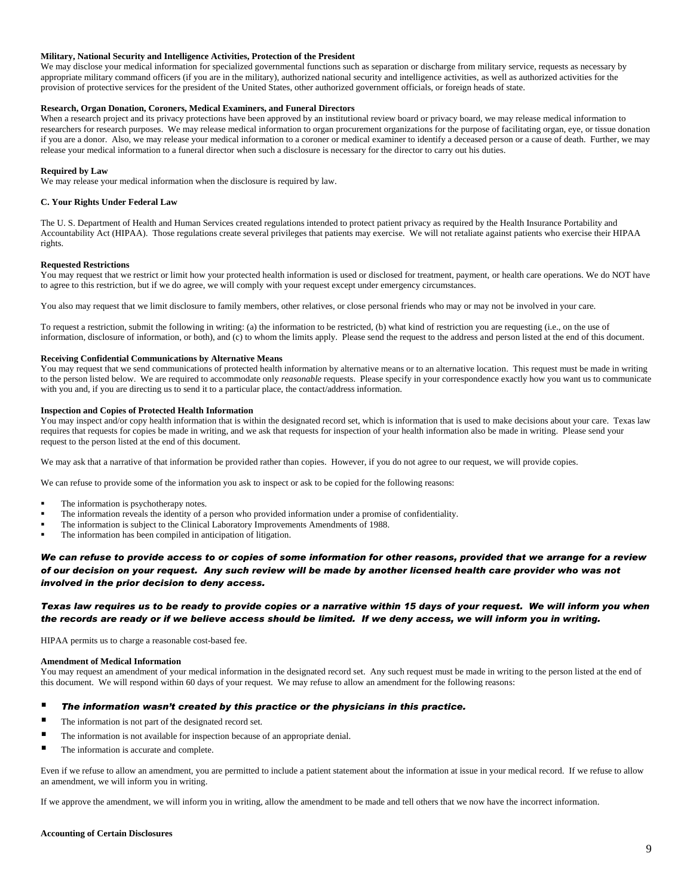#### **Military, National Security and Intelligence Activities, Protection of the President**

We may disclose your medical information for specialized governmental functions such as separation or discharge from military service, requests as necessary by appropriate military command officers (if you are in the military), authorized national security and intelligence activities, as well as authorized activities for the provision of protective services for the president of the United States, other authorized government officials, or foreign heads of state.

## **Research, Organ Donation, Coroners, Medical Examiners, and Funeral Directors**

When a research project and its privacy protections have been approved by an institutional review board or privacy board, we may release medical information to researchers for research purposes. We may release medical information to organ procurement organizations for the purpose of facilitating organ, eye, or tissue donation if you are a donor. Also, we may release your medical information to a coroner or medical examiner to identify a deceased person or a cause of death. Further, we may release your medical information to a funeral director when such a disclosure is necessary for the director to carry out his duties.

#### **Required by Law**

We may release your medical information when the disclosure is required by law.

#### **C. Your Rights Under Federal Law**

The U. S. Department of Health and Human Services created regulations intended to protect patient privacy as required by the Health Insurance Portability and Accountability Act (HIPAA). Those regulations create several privileges that patients may exercise. We will not retaliate against patients who exercise their HIPAA rights.

#### **Requested Restrictions**

You may request that we restrict or limit how your protected health information is used or disclosed for treatment, payment, or health care operations. We do NOT have to agree to this restriction, but if we do agree, we will comply with your request except under emergency circumstances.

You also may request that we limit disclosure to family members, other relatives, or close personal friends who may or may not be involved in your care.

To request a restriction, submit the following in writing: (a) the information to be restricted, (b) what kind of restriction you are requesting (i.e., on the use of information, disclosure of information, or both), and (c) to whom the limits apply. Please send the request to the address and person listed at the end of this document.

#### **Receiving Confidential Communications by Alternative Means**

You may request that we send communications of protected health information by alternative means or to an alternative location. This request must be made in writing to the person listed below. We are required to accommodate only *reasonable* requests. Please specify in your correspondence exactly how you want us to communicate with you and, if you are directing us to send it to a particular place, the contact/address information.

#### **Inspection and Copies of Protected Health Information**

You may inspect and/or copy health information that is within the designated record set, which is information that is used to make decisions about your care. Texas law requires that requests for copies be made in writing, and we ask that requests for inspection of your health information also be made in writing. Please send your request to the person listed at the end of this document.

We may ask that a narrative of that information be provided rather than copies. However, if you do not agree to our request, we will provide copies.

We can refuse to provide some of the information you ask to inspect or ask to be copied for the following reasons:

- The information is psychotherapy notes.
- The information reveals the identity of a person who provided information under a promise of confidentiality.
- The information is subject to the Clinical Laboratory Improvements Amendments of 1988.
- The information has been compiled in anticipation of litigation.

## *We can refuse to provide access to or copies of some information for other reasons, provided that we arrange for a review of our decision on your request. Any such review will be made by another licensed health care provider who was not involved in the prior decision to deny access.*

### *Texas law requires us to be ready to provide copies or a narrative within 15 days of your request. We will inform you when the records are ready or if we believe access should be limited. If we deny access, we will inform you in writing.*

HIPAA permits us to charge a reasonable cost-based fee.

#### **Amendment of Medical Information**

You may request an amendment of your medical information in the designated record set. Any such request must be made in writing to the person listed at the end of this document. We will respond within 60 days of your request. We may refuse to allow an amendment for the following reasons:

#### *The information wasn't created by this practice or the physicians in this practice.*

- The information is not part of the designated record set.
- **The information is not available for inspection because of an appropriate denial.**
- The information is accurate and complete.

Even if we refuse to allow an amendment, you are permitted to include a patient statement about the information at issue in your medical record. If we refuse to allow an amendment, we will inform you in writing.

If we approve the amendment, we will inform you in writing, allow the amendment to be made and tell others that we now have the incorrect information.

#### **Accounting of Certain Disclosures**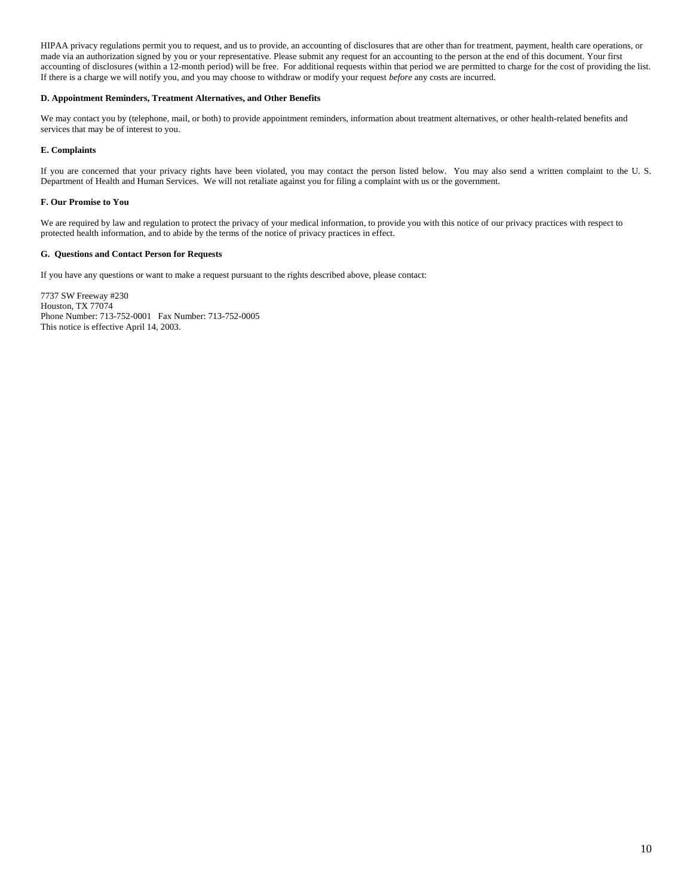HIPAA privacy regulations permit you to request, and us to provide, an accounting of disclosures that are other than for treatment, payment, health care operations, or made via an authorization signed by you or your representative. Please submit any request for an accounting to the person at the end of this document. Your first accounting of disclosures (within a 12-month period) will be free. For additional requests within that period we are permitted to charge for the cost of providing the list. If there is a charge we will notify you, and you may choose to withdraw or modify your request *before* any costs are incurred.

#### **D. Appointment Reminders, Treatment Alternatives, and Other Benefits**

We may contact you by (telephone, mail, or both) to provide appointment reminders, information about treatment alternatives, or other health-related benefits and services that may be of interest to you.

#### **E. Complaints**

If you are concerned that your privacy rights have been violated, you may contact the person listed below. You may also send a written complaint to the U. S. Department of Health and Human Services. We will not retaliate against you for filing a complaint with us or the government.

#### **F. Our Promise to You**

We are required by law and regulation to protect the privacy of your medical information, to provide you with this notice of our privacy practices with respect to protected health information, and to abide by the terms of the notice of privacy practices in effect.

#### **G. Questions and Contact Person for Requests**

If you have any questions or want to make a request pursuant to the rights described above, please contact:

7737 SW Freeway #230 Houston, TX 77074 Phone Number: 713-752-0001 Fax Number: 713-752-0005 This notice is effective April 14, 2003.